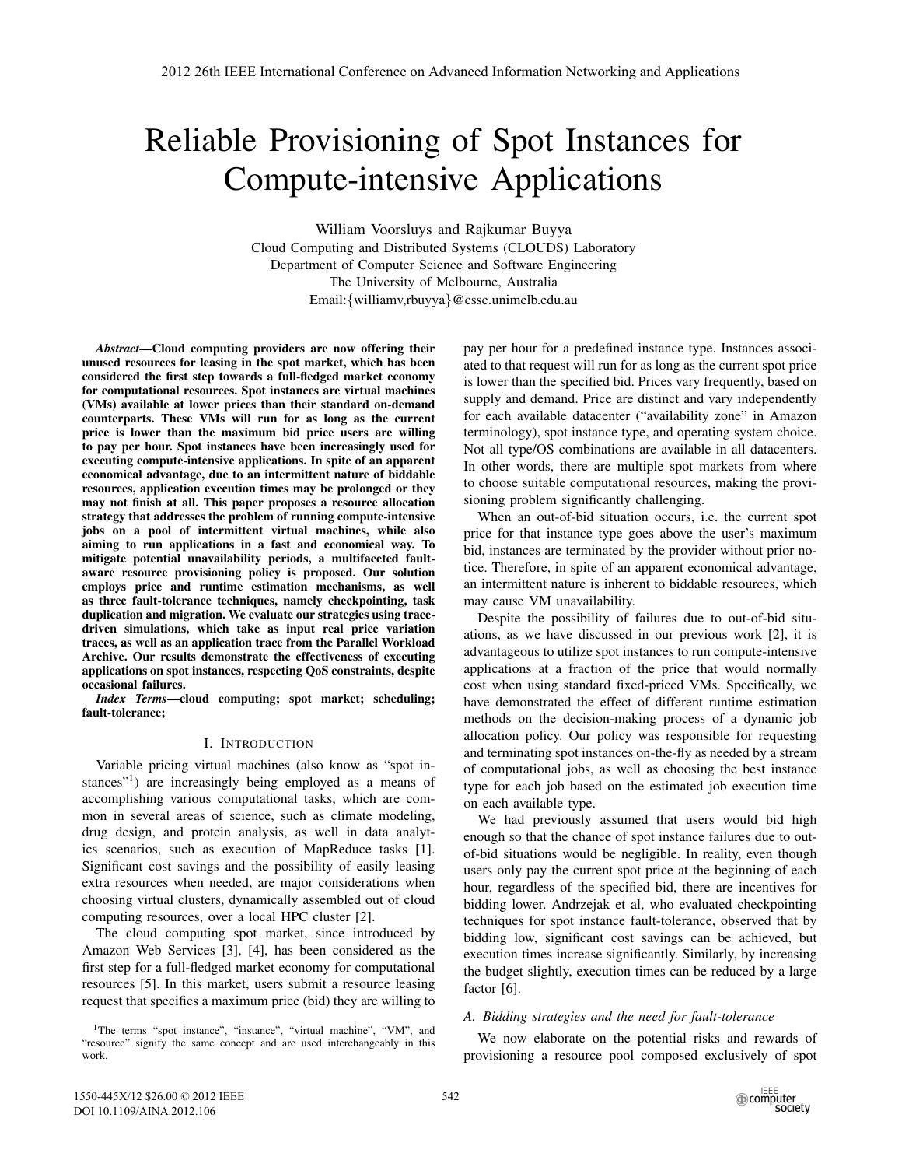# Reliable Provisioning of Spot Instances for Compute-intensive Applications

William Voorsluys and Rajkumar Buyya Cloud Computing and Distributed Systems (CLOUDS) Laboratory Department of Computer Science and Software Engineering The University of Melbourne, Australia Email:{williamv,rbuyya}@csse.unimelb.edu.au

*Abstract*—Cloud computing providers are now offering their unused resources for leasing in the spot market, which has been considered the first step towards a full-fledged market economy for computational resources. Spot instances are virtual machines (VMs) available at lower prices than their standard on-demand counterparts. These VMs will run for as long as the current price is lower than the maximum bid price users are willing to pay per hour. Spot instances have been increasingly used for executing compute-intensive applications. In spite of an apparent economical advantage, due to an intermittent nature of biddable resources, application execution times may be prolonged or they may not finish at all. This paper proposes a resource allocation strategy that addresses the problem of running compute-intensive jobs on a pool of intermittent virtual machines, while also aiming to run applications in a fast and economical way. To mitigate potential unavailability periods, a multifaceted faultaware resource provisioning policy is proposed. Our solution employs price and runtime estimation mechanisms, as well as three fault-tolerance techniques, namely checkpointing, task duplication and migration. We evaluate our strategies using tracedriven simulations, which take as input real price variation traces, as well as an application trace from the Parallel Workload Archive. Our results demonstrate the effectiveness of executing applications on spot instances, respecting QoS constraints, despite occasional failures.

*Index Terms*—cloud computing; spot market; scheduling; fault-tolerance;

### I. INTRODUCTION

Variable pricing virtual machines (also know as "spot instances<sup>"1</sup>) are increasingly being employed as a means of accomplishing various computational tasks, which are common in several areas of science, such as climate modeling, drug design, and protein analysis, as well in data analytics scenarios, such as execution of MapReduce tasks [1]. Significant cost savings and the possibility of easily leasing extra resources when needed, are major considerations when choosing virtual clusters, dynamically assembled out of cloud computing resources, over a local HPC cluster [2].

The cloud computing spot market, since introduced by Amazon Web Services [3], [4], has been considered as the first step for a full-fledged market economy for computational resources [5]. In this market, users submit a resource leasing request that specifies a maximum price (bid) they are willing to

<sup>1</sup>The terms "spot instance", "instance", "virtual machine", "VM", and "resource" signify the same concept and are used interchangeably in this work.

pay per hour for a predefined instance type. Instances associated to that request will run for as long as the current spot price is lower than the specified bid. Prices vary frequently, based on supply and demand. Price are distinct and vary independently for each available datacenter ("availability zone" in Amazon terminology), spot instance type, and operating system choice. Not all type/OS combinations are available in all datacenters. In other words, there are multiple spot markets from where to choose suitable computational resources, making the provisioning problem significantly challenging.

When an out-of-bid situation occurs, i.e. the current spot price for that instance type goes above the user's maximum bid, instances are terminated by the provider without prior notice. Therefore, in spite of an apparent economical advantage, an intermittent nature is inherent to biddable resources, which may cause VM unavailability.

Despite the possibility of failures due to out-of-bid situations, as we have discussed in our previous work [2], it is advantageous to utilize spot instances to run compute-intensive applications at a fraction of the price that would normally cost when using standard fixed-priced VMs. Specifically, we have demonstrated the effect of different runtime estimation methods on the decision-making process of a dynamic job allocation policy. Our policy was responsible for requesting and terminating spot instances on-the-fly as needed by a stream of computational jobs, as well as choosing the best instance type for each job based on the estimated job execution time on each available type.

We had previously assumed that users would bid high enough so that the chance of spot instance failures due to outof-bid situations would be negligible. In reality, even though users only pay the current spot price at the beginning of each hour, regardless of the specified bid, there are incentives for bidding lower. Andrzejak et al, who evaluated checkpointing techniques for spot instance fault-tolerance, observed that by bidding low, significant cost savings can be achieved, but execution times increase significantly. Similarly, by increasing the budget slightly, execution times can be reduced by a large factor [6].

# *A. Bidding strategies and the need for fault-tolerance*

We now elaborate on the potential risks and rewards of provisioning a resource pool composed exclusively of spot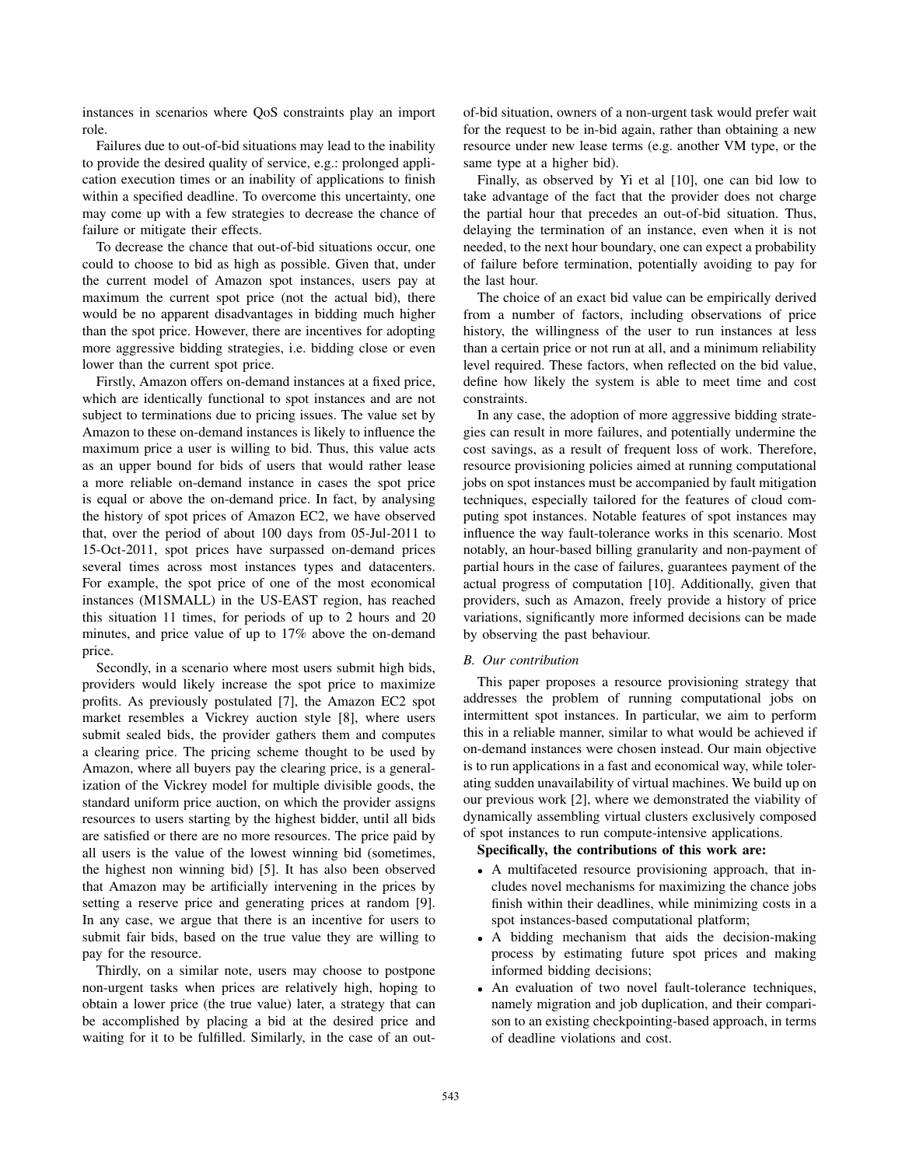instances in scenarios where QoS constraints play an import role.

Failures due to out-of-bid situations may lead to the inability to provide the desired quality of service, e.g.: prolonged application execution times or an inability of applications to finish within a specified deadline. To overcome this uncertainty, one may come up with a few strategies to decrease the chance of failure or mitigate their effects.

To decrease the chance that out-of-bid situations occur, one could to choose to bid as high as possible. Given that, under the current model of Amazon spot instances, users pay at maximum the current spot price (not the actual bid), there would be no apparent disadvantages in bidding much higher than the spot price. However, there are incentives for adopting more aggressive bidding strategies, i.e. bidding close or even lower than the current spot price.

Firstly, Amazon offers on-demand instances at a fixed price, which are identically functional to spot instances and are not subject to terminations due to pricing issues. The value set by Amazon to these on-demand instances is likely to influence the maximum price a user is willing to bid. Thus, this value acts as an upper bound for bids of users that would rather lease a more reliable on-demand instance in cases the spot price is equal or above the on-demand price. In fact, by analysing the history of spot prices of Amazon EC2, we have observed that, over the period of about 100 days from 05-Jul-2011 to 15-Oct-2011, spot prices have surpassed on-demand prices several times across most instances types and datacenters. For example, the spot price of one of the most economical instances (M1SMALL) in the US-EAST region, has reached this situation 11 times, for periods of up to 2 hours and 20 minutes, and price value of up to 17% above the on-demand price.

Secondly, in a scenario where most users submit high bids, providers would likely increase the spot price to maximize profits. As previously postulated [7], the Amazon EC2 spot market resembles a Vickrey auction style [8], where users submit sealed bids, the provider gathers them and computes a clearing price. The pricing scheme thought to be used by Amazon, where all buyers pay the clearing price, is a generalization of the Vickrey model for multiple divisible goods, the standard uniform price auction, on which the provider assigns resources to users starting by the highest bidder, until all bids are satisfied or there are no more resources. The price paid by all users is the value of the lowest winning bid (sometimes, the highest non winning bid) [5]. It has also been observed that Amazon may be artificially intervening in the prices by setting a reserve price and generating prices at random [9]. In any case, we argue that there is an incentive for users to submit fair bids, based on the true value they are willing to pay for the resource.

Thirdly, on a similar note, users may choose to postpone non-urgent tasks when prices are relatively high, hoping to obtain a lower price (the true value) later, a strategy that can be accomplished by placing a bid at the desired price and waiting for it to be fulfilled. Similarly, in the case of an outof-bid situation, owners of a non-urgent task would prefer wait for the request to be in-bid again, rather than obtaining a new resource under new lease terms (e.g. another VM type, or the same type at a higher bid).

Finally, as observed by Yi et al [10], one can bid low to take advantage of the fact that the provider does not charge the partial hour that precedes an out-of-bid situation. Thus, delaying the termination of an instance, even when it is not needed, to the next hour boundary, one can expect a probability of failure before termination, potentially avoiding to pay for the last hour.

The choice of an exact bid value can be empirically derived from a number of factors, including observations of price history, the willingness of the user to run instances at less than a certain price or not run at all, and a minimum reliability level required. These factors, when reflected on the bid value, define how likely the system is able to meet time and cost constraints.

In any case, the adoption of more aggressive bidding strategies can result in more failures, and potentially undermine the cost savings, as a result of frequent loss of work. Therefore, resource provisioning policies aimed at running computational jobs on spot instances must be accompanied by fault mitigation techniques, especially tailored for the features of cloud computing spot instances. Notable features of spot instances may influence the way fault-tolerance works in this scenario. Most notably, an hour-based billing granularity and non-payment of partial hours in the case of failures, guarantees payment of the actual progress of computation [10]. Additionally, given that providers, such as Amazon, freely provide a history of price variations, significantly more informed decisions can be made by observing the past behaviour.

#### *B. Our contribution*

This paper proposes a resource provisioning strategy that addresses the problem of running computational jobs on intermittent spot instances. In particular, we aim to perform this in a reliable manner, similar to what would be achieved if on-demand instances were chosen instead. Our main objective is to run applications in a fast and economical way, while tolerating sudden unavailability of virtual machines. We build up on our previous work [2], where we demonstrated the viability of dynamically assembling virtual clusters exclusively composed of spot instances to run compute-intensive applications.

# Specifically, the contributions of this work are:

- A multifaceted resource provisioning approach, that includes novel mechanisms for maximizing the chance jobs finish within their deadlines, while minimizing costs in a spot instances-based computational platform;
- A bidding mechanism that aids the decision-making process by estimating future spot prices and making informed bidding decisions;
- An evaluation of two novel fault-tolerance techniques, namely migration and job duplication, and their comparison to an existing checkpointing-based approach, in terms of deadline violations and cost.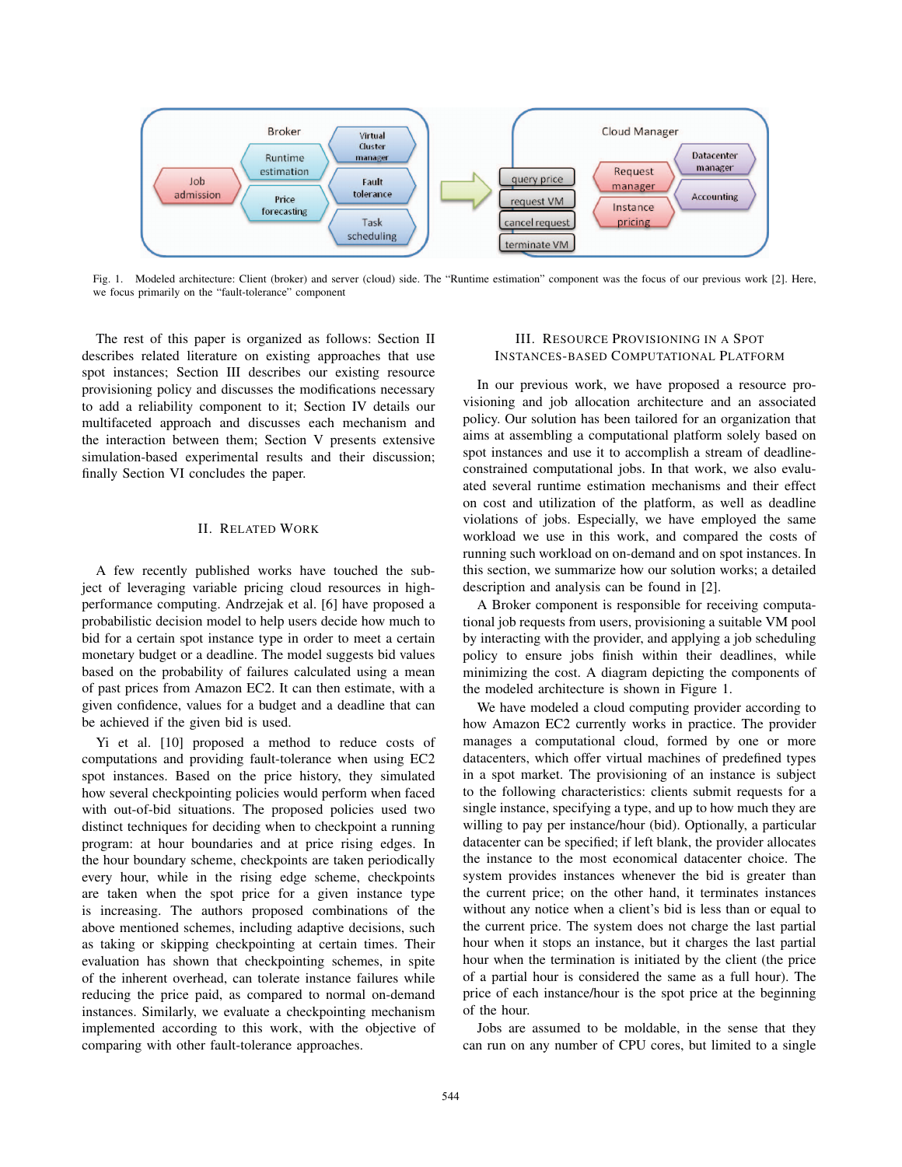

Fig. 1. Modeled architecture: Client (broker) and server (cloud) side. The "Runtime estimation" component was the focus of our previous work [2]. Here, we focus primarily on the "fault-tolerance" component

The rest of this paper is organized as follows: Section II describes related literature on existing approaches that use spot instances; Section III describes our existing resource provisioning policy and discusses the modifications necessary to add a reliability component to it; Section IV details our multifaceted approach and discusses each mechanism and the interaction between them; Section V presents extensive simulation-based experimental results and their discussion; finally Section VI concludes the paper.

# II. RELATED WORK

A few recently published works have touched the subject of leveraging variable pricing cloud resources in highperformance computing. Andrzejak et al. [6] have proposed a probabilistic decision model to help users decide how much to bid for a certain spot instance type in order to meet a certain monetary budget or a deadline. The model suggests bid values based on the probability of failures calculated using a mean of past prices from Amazon EC2. It can then estimate, with a given confidence, values for a budget and a deadline that can be achieved if the given bid is used.

Yi et al. [10] proposed a method to reduce costs of computations and providing fault-tolerance when using EC2 spot instances. Based on the price history, they simulated how several checkpointing policies would perform when faced with out-of-bid situations. The proposed policies used two distinct techniques for deciding when to checkpoint a running program: at hour boundaries and at price rising edges. In the hour boundary scheme, checkpoints are taken periodically every hour, while in the rising edge scheme, checkpoints are taken when the spot price for a given instance type is increasing. The authors proposed combinations of the above mentioned schemes, including adaptive decisions, such as taking or skipping checkpointing at certain times. Their evaluation has shown that checkpointing schemes, in spite of the inherent overhead, can tolerate instance failures while reducing the price paid, as compared to normal on-demand instances. Similarly, we evaluate a checkpointing mechanism implemented according to this work, with the objective of comparing with other fault-tolerance approaches.

# III. RESOURCE PROVISIONING IN A SPOT INSTANCES-BASED COMPUTATIONAL PLATFORM

In our previous work, we have proposed a resource provisioning and job allocation architecture and an associated policy. Our solution has been tailored for an organization that aims at assembling a computational platform solely based on spot instances and use it to accomplish a stream of deadlineconstrained computational jobs. In that work, we also evaluated several runtime estimation mechanisms and their effect on cost and utilization of the platform, as well as deadline violations of jobs. Especially, we have employed the same workload we use in this work, and compared the costs of running such workload on on-demand and on spot instances. In this section, we summarize how our solution works; a detailed description and analysis can be found in [2].

A Broker component is responsible for receiving computational job requests from users, provisioning a suitable VM pool by interacting with the provider, and applying a job scheduling policy to ensure jobs finish within their deadlines, while minimizing the cost. A diagram depicting the components of the modeled architecture is shown in Figure 1.

We have modeled a cloud computing provider according to how Amazon EC2 currently works in practice. The provider manages a computational cloud, formed by one or more datacenters, which offer virtual machines of predefined types in a spot market. The provisioning of an instance is subject to the following characteristics: clients submit requests for a single instance, specifying a type, and up to how much they are willing to pay per instance/hour (bid). Optionally, a particular datacenter can be specified; if left blank, the provider allocates the instance to the most economical datacenter choice. The system provides instances whenever the bid is greater than the current price; on the other hand, it terminates instances without any notice when a client's bid is less than or equal to the current price. The system does not charge the last partial hour when it stops an instance, but it charges the last partial hour when the termination is initiated by the client (the price of a partial hour is considered the same as a full hour). The price of each instance/hour is the spot price at the beginning of the hour.

Jobs are assumed to be moldable, in the sense that they can run on any number of CPU cores, but limited to a single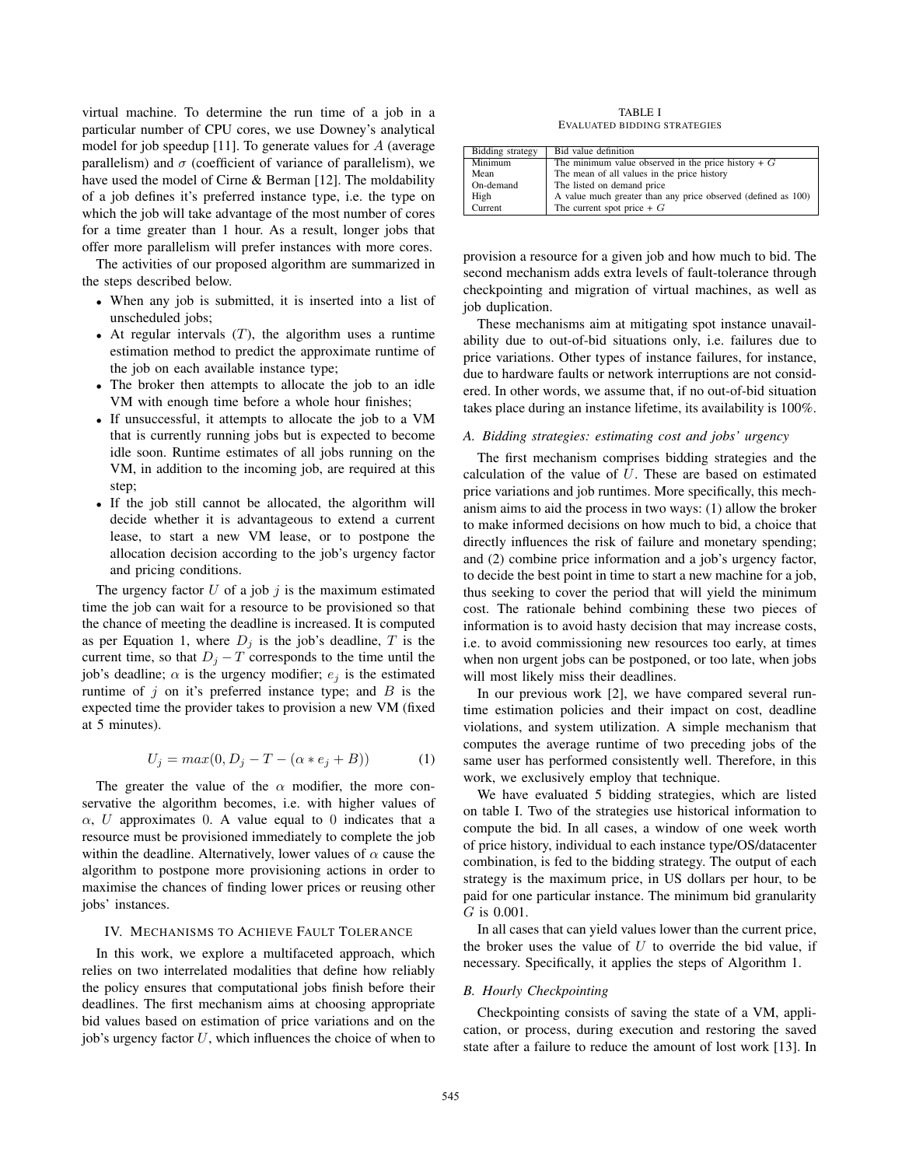virtual machine. To determine the run time of a job in a particular number of CPU cores, we use Downey's analytical model for job speedup [11]. To generate values for  $A$  (average parallelism) and  $\sigma$  (coefficient of variance of parallelism), we have used the model of Cirne & Berman [12]. The moldability of a job defines it's preferred instance type, i.e. the type on which the job will take advantage of the most number of cores for a time greater than 1 hour. As a result, longer jobs that offer more parallelism will prefer instances with more cores.

The activities of our proposed algorithm are summarized in the steps described below.

- When any job is submitted, it is inserted into a list of unscheduled jobs;
- At regular intervals  $(T)$ , the algorithm uses a runtime estimation method to predict the approximate runtime of the job on each available instance type;
- The broker then attempts to allocate the job to an idle VM with enough time before a whole hour finishes;
- If unsuccessful, it attempts to allocate the job to a VM that is currently running jobs but is expected to become idle soon. Runtime estimates of all jobs running on the VM, in addition to the incoming job, are required at this step;
- If the job still cannot be allocated, the algorithm will decide whether it is advantageous to extend a current lease, to start a new VM lease, or to postpone the allocation decision according to the job's urgency factor and pricing conditions.

The urgency factor  $U$  of a job  $j$  is the maximum estimated time the job can wait for a resource to be provisioned so that the chance of meeting the deadline is increased. It is computed as per Equation 1, where  $D_i$  is the job's deadline, T is the current time, so that  $D_i - T$  corresponds to the time until the job's deadline;  $\alpha$  is the urgency modifier;  $e_i$  is the estimated runtime of  $j$  on it's preferred instance type; and  $B$  is the expected time the provider takes to provision a new VM (fixed at 5 minutes).

$$
U_j = max(0, D_j - T - (\alpha * e_j + B))
$$
 (1)

The greater the value of the  $\alpha$  modifier, the more conservative the algorithm becomes, i.e. with higher values of  $\alpha$ , U approximates 0. A value equal to 0 indicates that a resource must be provisioned immediately to complete the job within the deadline. Alternatively, lower values of  $\alpha$  cause the algorithm to postpone more provisioning actions in order to maximise the chances of finding lower prices or reusing other jobs' instances.

## IV. MECHANISMS TO ACHIEVE FAULT TOLERANCE

In this work, we explore a multifaceted approach, which relies on two interrelated modalities that define how reliably the policy ensures that computational jobs finish before their deadlines. The first mechanism aims at choosing appropriate bid values based on estimation of price variations and on the job's urgency factor  $U$ , which influences the choice of when to

TABLE I EVALUATED BIDDING STRATEGIES

| Bidding strategy | Bid value definition                                          |
|------------------|---------------------------------------------------------------|
| Minimum          | The minimum value observed in the price history + $G$         |
| Mean             | The mean of all values in the price history                   |
| On-demand        | The listed on demand price                                    |
| High             | A value much greater than any price observed (defined as 100) |
| Current          | The current spot price $+ G$                                  |

provision a resource for a given job and how much to bid. The second mechanism adds extra levels of fault-tolerance through checkpointing and migration of virtual machines, as well as job duplication.

These mechanisms aim at mitigating spot instance unavailability due to out-of-bid situations only, i.e. failures due to price variations. Other types of instance failures, for instance, due to hardware faults or network interruptions are not considered. In other words, we assume that, if no out-of-bid situation takes place during an instance lifetime, its availability is 100%.

### *A. Bidding strategies: estimating cost and jobs' urgency*

The first mechanism comprises bidding strategies and the calculation of the value of  $U$ . These are based on estimated price variations and job runtimes. More specifically, this mechanism aims to aid the process in two ways: (1) allow the broker to make informed decisions on how much to bid, a choice that directly influences the risk of failure and monetary spending; and (2) combine price information and a job's urgency factor, to decide the best point in time to start a new machine for a job, thus seeking to cover the period that will yield the minimum cost. The rationale behind combining these two pieces of information is to avoid hasty decision that may increase costs, i.e. to avoid commissioning new resources too early, at times when non urgent jobs can be postponed, or too late, when jobs will most likely miss their deadlines.

In our previous work [2], we have compared several runtime estimation policies and their impact on cost, deadline violations, and system utilization. A simple mechanism that computes the average runtime of two preceding jobs of the same user has performed consistently well. Therefore, in this work, we exclusively employ that technique.

We have evaluated 5 bidding strategies, which are listed on table I. Two of the strategies use historical information to compute the bid. In all cases, a window of one week worth of price history, individual to each instance type/OS/datacenter combination, is fed to the bidding strategy. The output of each strategy is the maximum price, in US dollars per hour, to be paid for one particular instance. The minimum bid granularity G is 0.001.

In all cases that can yield values lower than the current price, the broker uses the value of  $U$  to override the bid value, if necessary. Specifically, it applies the steps of Algorithm 1.

#### *B. Hourly Checkpointing*

Checkpointing consists of saving the state of a VM, application, or process, during execution and restoring the saved state after a failure to reduce the amount of lost work [13]. In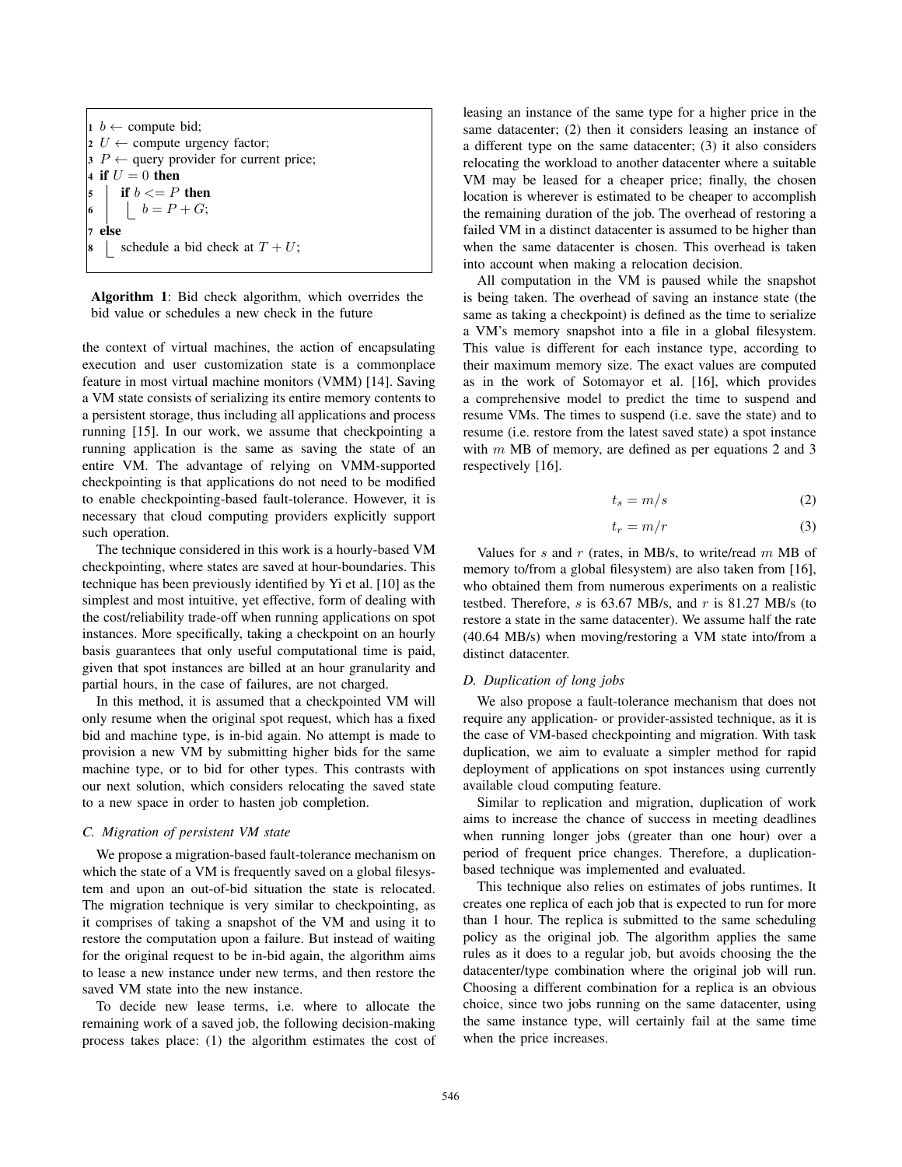1  $b \leftarrow$  compute bid;  $|2\ U \leftarrow$  compute urgency factor;  $3$  P  $\leftarrow$  query provider for current price; 4 if  $U = 0$  then if  $b \leq P$  then  $b = P + G;$ <sup>7</sup> else | schedule a bid check at  $T + U$ ;

Algorithm 1: Bid check algorithm, which overrides the bid value or schedules a new check in the future

the context of virtual machines, the action of encapsulating execution and user customization state is a commonplace feature in most virtual machine monitors (VMM) [14]. Saving a VM state consists of serializing its entire memory contents to a persistent storage, thus including all applications and process running [15]. In our work, we assume that checkpointing a running application is the same as saving the state of an entire VM. The advantage of relying on VMM-supported checkpointing is that applications do not need to be modified to enable checkpointing-based fault-tolerance. However, it is necessary that cloud computing providers explicitly support such operation.

The technique considered in this work is a hourly-based VM checkpointing, where states are saved at hour-boundaries. This technique has been previously identified by Yi et al. [10] as the simplest and most intuitive, yet effective, form of dealing with the cost/reliability trade-off when running applications on spot instances. More specifically, taking a checkpoint on an hourly basis guarantees that only useful computational time is paid, given that spot instances are billed at an hour granularity and partial hours, in the case of failures, are not charged.

In this method, it is assumed that a checkpointed VM will only resume when the original spot request, which has a fixed bid and machine type, is in-bid again. No attempt is made to provision a new VM by submitting higher bids for the same machine type, or to bid for other types. This contrasts with our next solution, which considers relocating the saved state to a new space in order to hasten job completion.

#### *C. Migration of persistent VM state*

We propose a migration-based fault-tolerance mechanism on which the state of a VM is frequently saved on a global filesystem and upon an out-of-bid situation the state is relocated. The migration technique is very similar to checkpointing, as it comprises of taking a snapshot of the VM and using it to restore the computation upon a failure. But instead of waiting for the original request to be in-bid again, the algorithm aims to lease a new instance under new terms, and then restore the saved VM state into the new instance.

To decide new lease terms, i.e. where to allocate the remaining work of a saved job, the following decision-making process takes place: (1) the algorithm estimates the cost of leasing an instance of the same type for a higher price in the same datacenter; (2) then it considers leasing an instance of a different type on the same datacenter; (3) it also considers relocating the workload to another datacenter where a suitable VM may be leased for a cheaper price; finally, the chosen location is wherever is estimated to be cheaper to accomplish the remaining duration of the job. The overhead of restoring a failed VM in a distinct datacenter is assumed to be higher than when the same datacenter is chosen. This overhead is taken into account when making a relocation decision.

All computation in the VM is paused while the snapshot is being taken. The overhead of saving an instance state (the same as taking a checkpoint) is defined as the time to serialize a VM's memory snapshot into a file in a global filesystem. This value is different for each instance type, according to their maximum memory size. The exact values are computed as in the work of Sotomayor et al. [16], which provides a comprehensive model to predict the time to suspend and resume VMs. The times to suspend (i.e. save the state) and to resume (i.e. restore from the latest saved state) a spot instance with  $m$  MB of memory, are defined as per equations 2 and 3 respectively [16].

$$
t_s = m/s \tag{2}
$$

$$
t_r = m/r \tag{3}
$$

Values for s and  $r$  (rates, in MB/s, to write/read  $m$  MB of memory to/from a global filesystem) are also taken from [16], who obtained them from numerous experiments on a realistic testbed. Therefore, s is  $63.67$  MB/s, and r is  $81.27$  MB/s (to restore a state in the same datacenter). We assume half the rate (40.64 MB/s) when moving/restoring a VM state into/from a distinct datacenter.

# *D. Duplication of long jobs*

We also propose a fault-tolerance mechanism that does not require any application- or provider-assisted technique, as it is the case of VM-based checkpointing and migration. With task duplication, we aim to evaluate a simpler method for rapid deployment of applications on spot instances using currently available cloud computing feature.

Similar to replication and migration, duplication of work aims to increase the chance of success in meeting deadlines when running longer jobs (greater than one hour) over a period of frequent price changes. Therefore, a duplicationbased technique was implemented and evaluated.

This technique also relies on estimates of jobs runtimes. It creates one replica of each job that is expected to run for more than 1 hour. The replica is submitted to the same scheduling policy as the original job. The algorithm applies the same rules as it does to a regular job, but avoids choosing the the datacenter/type combination where the original job will run. Choosing a different combination for a replica is an obvious choice, since two jobs running on the same datacenter, using the same instance type, will certainly fail at the same time when the price increases.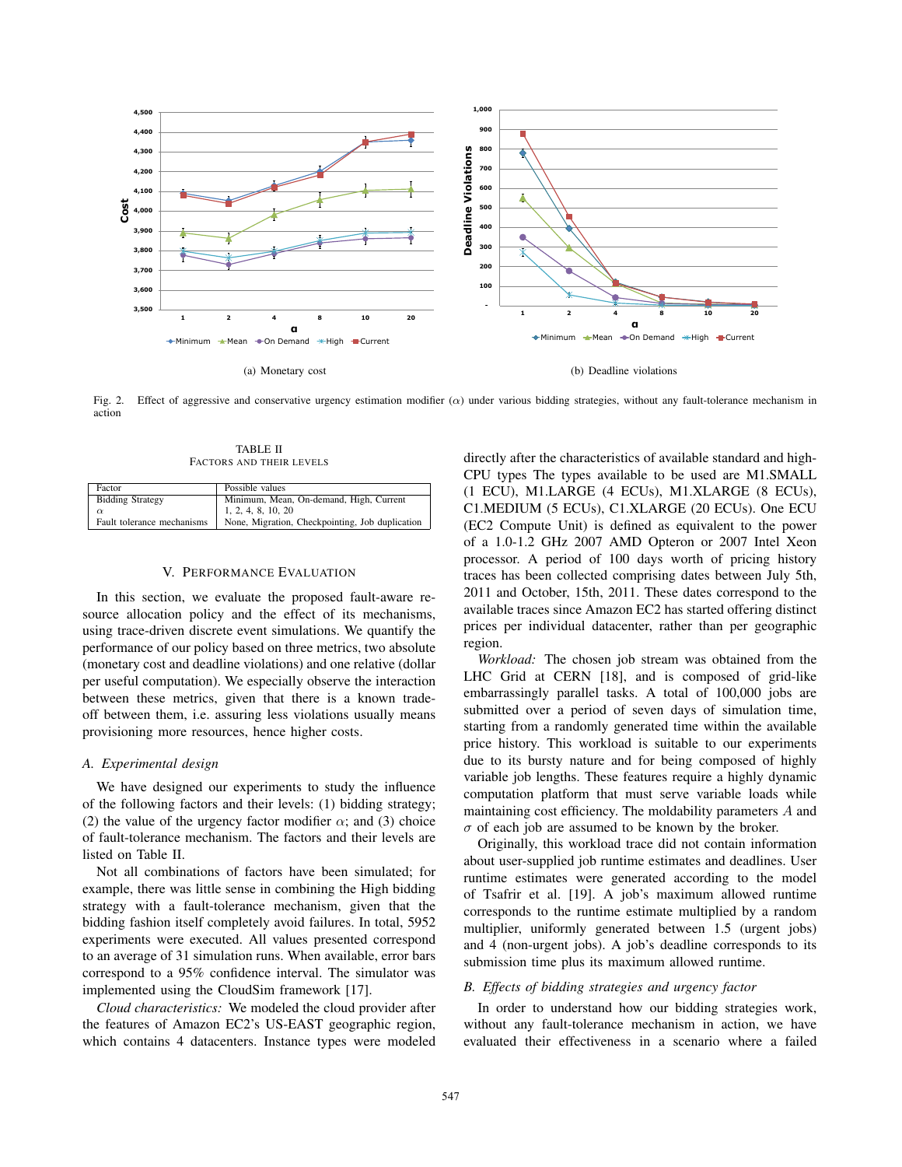

Fig. 2. Effect of aggressive and conservative urgency estimation modifier  $(\alpha)$  under various bidding strategies, without any fault-tolerance mechanism in action

TABLE II FACTORS AND THEIR LEVELS

| Factor                     | Possible values                                 |  |  |
|----------------------------|-------------------------------------------------|--|--|
| <b>Bidding Strategy</b>    | Minimum, Mean, On-demand, High, Current         |  |  |
|                            | 1, 2, 4, 8, 10, 20                              |  |  |
| Fault tolerance mechanisms | None, Migration, Checkpointing, Job duplication |  |  |

## V. PERFORMANCE EVALUATION

In this section, we evaluate the proposed fault-aware resource allocation policy and the effect of its mechanisms, using trace-driven discrete event simulations. We quantify the performance of our policy based on three metrics, two absolute (monetary cost and deadline violations) and one relative (dollar per useful computation). We especially observe the interaction between these metrics, given that there is a known tradeoff between them, i.e. assuring less violations usually means provisioning more resources, hence higher costs.

# *A. Experimental design*

We have designed our experiments to study the influence of the following factors and their levels: (1) bidding strategy; (2) the value of the urgency factor modifier  $\alpha$ ; and (3) choice of fault-tolerance mechanism. The factors and their levels are listed on Table II.

Not all combinations of factors have been simulated; for example, there was little sense in combining the High bidding strategy with a fault-tolerance mechanism, given that the bidding fashion itself completely avoid failures. In total, 5952 experiments were executed. All values presented correspond to an average of 31 simulation runs. When available, error bars correspond to a 95% confidence interval. The simulator was implemented using the CloudSim framework [17].

*Cloud characteristics:* We modeled the cloud provider after the features of Amazon EC2's US-EAST geographic region, which contains 4 datacenters. Instance types were modeled directly after the characteristics of available standard and high-CPU types The types available to be used are M1.SMALL (1 ECU), M1.LARGE (4 ECUs), M1.XLARGE (8 ECUs), C1.MEDIUM (5 ECUs), C1.XLARGE (20 ECUs). One ECU (EC2 Compute Unit) is defined as equivalent to the power of a 1.0-1.2 GHz 2007 AMD Opteron or 2007 Intel Xeon processor. A period of 100 days worth of pricing history traces has been collected comprising dates between July 5th, 2011 and October, 15th, 2011. These dates correspond to the available traces since Amazon EC2 has started offering distinct prices per individual datacenter, rather than per geographic region.

*Workload:* The chosen job stream was obtained from the LHC Grid at CERN [18], and is composed of grid-like embarrassingly parallel tasks. A total of 100,000 jobs are submitted over a period of seven days of simulation time, starting from a randomly generated time within the available price history. This workload is suitable to our experiments due to its bursty nature and for being composed of highly variable job lengths. These features require a highly dynamic computation platform that must serve variable loads while maintaining cost efficiency. The moldability parameters A and  $\sigma$  of each job are assumed to be known by the broker.

Originally, this workload trace did not contain information about user-supplied job runtime estimates and deadlines. User runtime estimates were generated according to the model of Tsafrir et al. [19]. A job's maximum allowed runtime corresponds to the runtime estimate multiplied by a random multiplier, uniformly generated between 1.5 (urgent jobs) and 4 (non-urgent jobs). A job's deadline corresponds to its submission time plus its maximum allowed runtime.

# *B. Effects of bidding strategies and urgency factor*

In order to understand how our bidding strategies work, without any fault-tolerance mechanism in action, we have evaluated their effectiveness in a scenario where a failed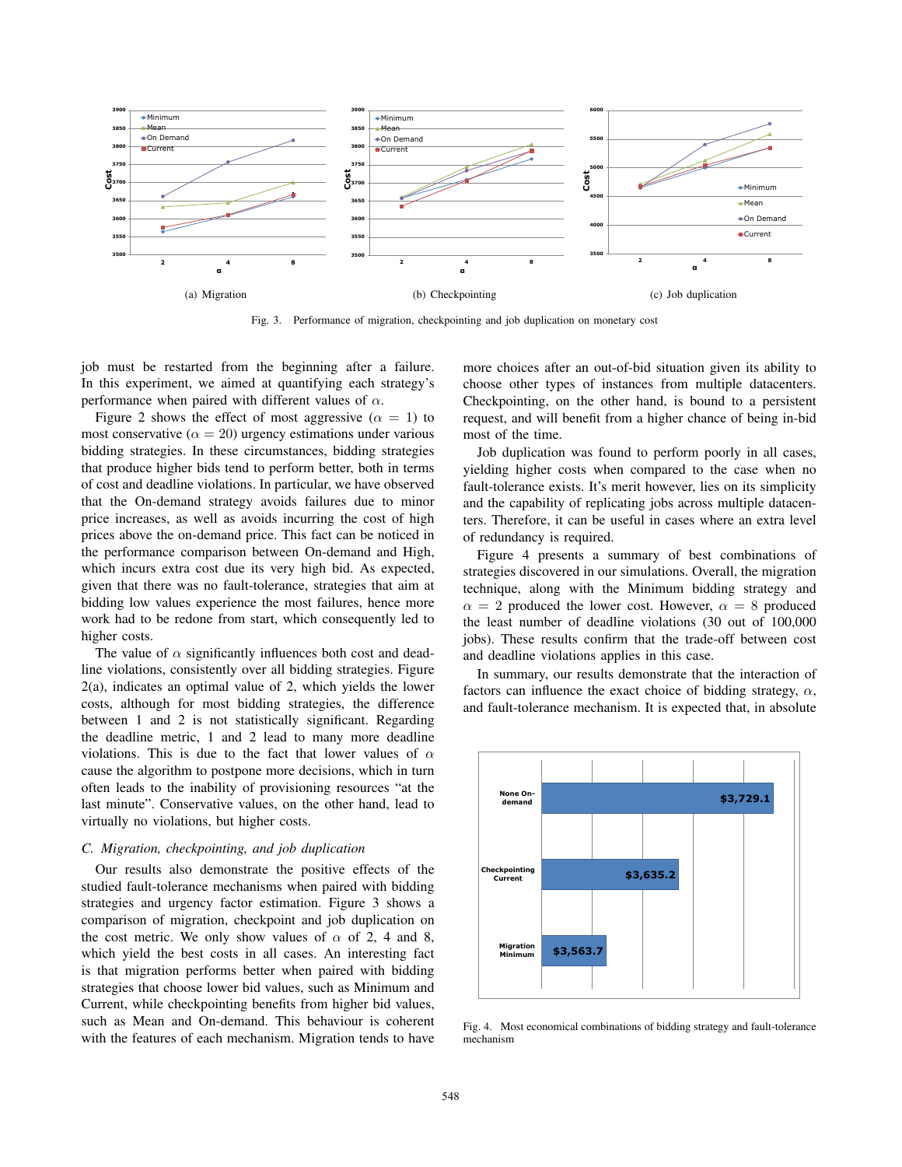

Fig. 3. Performance of migration, checkpointing and job duplication on monetary cost

job must be restarted from the beginning after a failure. In this experiment, we aimed at quantifying each strategy's performance when paired with different values of  $\alpha$ .

Figure 2 shows the effect of most aggressive ( $\alpha = 1$ ) to most conservative ( $\alpha = 20$ ) urgency estimations under various bidding strategies. In these circumstances, bidding strategies that produce higher bids tend to perform better, both in terms of cost and deadline violations. In particular, we have observed that the On-demand strategy avoids failures due to minor price increases, as well as avoids incurring the cost of high prices above the on-demand price. This fact can be noticed in the performance comparison between On-demand and High, which incurs extra cost due its very high bid. As expected, given that there was no fault-tolerance, strategies that aim at bidding low values experience the most failures, hence more work had to be redone from start, which consequently led to higher costs.

The value of  $\alpha$  significantly influences both cost and deadline violations, consistently over all bidding strategies. Figure 2(a), indicates an optimal value of 2, which yields the lower costs, although for most bidding strategies, the difference between 1 and 2 is not statistically significant. Regarding the deadline metric, 1 and 2 lead to many more deadline violations. This is due to the fact that lower values of  $\alpha$ cause the algorithm to postpone more decisions, which in turn often leads to the inability of provisioning resources "at the last minute". Conservative values, on the other hand, lead to virtually no violations, but higher costs.

#### *C. Migration, checkpointing, and job duplication*

Our results also demonstrate the positive effects of the studied fault-tolerance mechanisms when paired with bidding strategies and urgency factor estimation. Figure 3 shows a comparison of migration, checkpoint and job duplication on the cost metric. We only show values of  $\alpha$  of 2, 4 and 8, which yield the best costs in all cases. An interesting fact is that migration performs better when paired with bidding strategies that choose lower bid values, such as Minimum and Current, while checkpointing benefits from higher bid values, such as Mean and On-demand. This behaviour is coherent with the features of each mechanism. Migration tends to have

more choices after an out-of-bid situation given its ability to choose other types of instances from multiple datacenters. Checkpointing, on the other hand, is bound to a persistent request, and will benefit from a higher chance of being in-bid most of the time.

Job duplication was found to perform poorly in all cases, yielding higher costs when compared to the case when no fault-tolerance exists. It's merit however, lies on its simplicity and the capability of replicating jobs across multiple datacenters. Therefore, it can be useful in cases where an extra level of redundancy is required.

Figure 4 presents a summary of best combinations of strategies discovered in our simulations. Overall, the migration technique, along with the Minimum bidding strategy and  $\alpha = 2$  produced the lower cost. However,  $\alpha = 8$  produced the least number of deadline violations (30 out of 100,000 jobs). These results confirm that the trade-off between cost and deadline violations applies in this case.

In summary, our results demonstrate that the interaction of factors can influence the exact choice of bidding strategy,  $\alpha$ , and fault-tolerance mechanism. It is expected that, in absolute



Fig. 4. Most economical combinations of bidding strategy and fault-tolerance mechanism